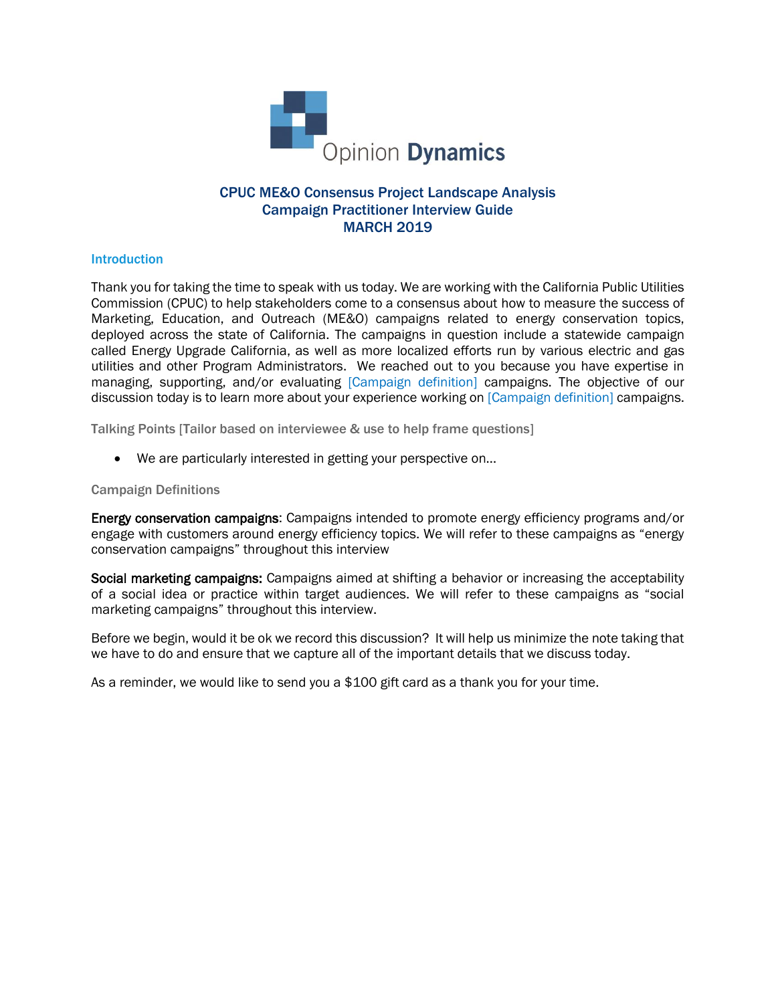

# CPUC ME&O Consensus Project Landscape Analysis Campaign Practitioner Interview Guide MARCH 2019

### **Introduction**

Thank you for taking the time to speak with us today. We are working with the California Public Utilities Commission (CPUC) to help stakeholders come to a consensus about how to measure the success of Marketing, Education, and Outreach (ME&O) campaigns related to energy conservation topics, deployed across the state of California. The campaigns in question include a statewide campaign called Energy Upgrade California, as well as more localized efforts run by various electric and gas utilities and other Program Administrators. We reached out to you because you have expertise in managing, supporting, and/or evaluating [Campaign definition] campaigns. The objective of our discussion today is to learn more about your experience working on [Campaign definition] campaigns.

Talking Points [Tailor based on interviewee & use to help frame questions]

• We are particularly interested in getting your perspective on…

### Campaign Definitions

Energy conservation campaigns: Campaigns intended to promote energy efficiency programs and/or engage with customers around energy efficiency topics. We will refer to these campaigns as "energy conservation campaigns" throughout this interview

Social marketing campaigns: Campaigns aimed at shifting a behavior or increasing the acceptability of a social idea or practice within target audiences. We will refer to these campaigns as "social marketing campaigns" throughout this interview.

Before we begin, would it be ok we record this discussion? It will help us minimize the note taking that we have to do and ensure that we capture all of the important details that we discuss today.

As a reminder, we would like to send you a \$100 gift card as a thank you for your time.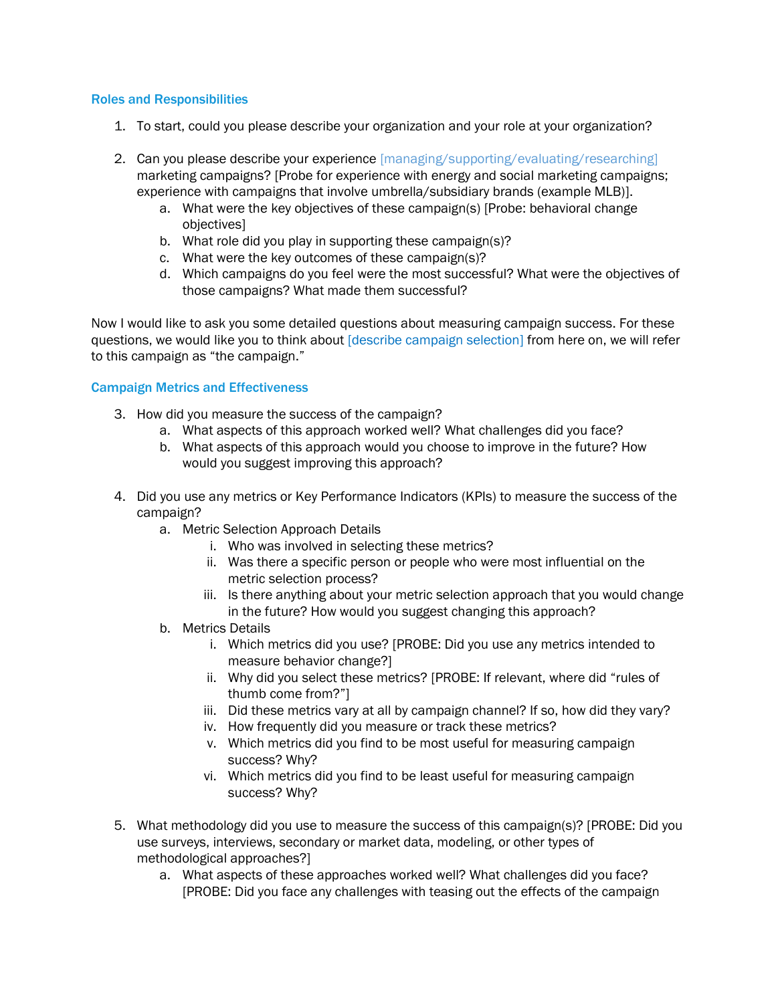### Roles and Responsibilities

- 1. To start, could you please describe your organization and your role at your organization?
- 2. Can you please describe your experience [managing/supporting/evaluating/researching] marketing campaigns? [Probe for experience with energy and social marketing campaigns; experience with campaigns that involve umbrella/subsidiary brands (example MLB)].
	- a. What were the key objectives of these campaign(s) [Probe: behavioral change objectives]
	- b. What role did you play in supporting these campaign(s)?
	- c. What were the key outcomes of these campaign(s)?
	- d. Which campaigns do you feel were the most successful? What were the objectives of those campaigns? What made them successful?

Now I would like to ask you some detailed questions about measuring campaign success. For these questions, we would like you to think about [describe campaign selection] from here on, we will refer to this campaign as "the campaign."

## Campaign Metrics and Effectiveness

- 3. How did you measure the success of the campaign?
	- a. What aspects of this approach worked well? What challenges did you face?
	- b. What aspects of this approach would you choose to improve in the future? How would you suggest improving this approach?
- 4. Did you use any metrics or Key Performance Indicators (KPIs) to measure the success of the campaign?
	- a. Metric Selection Approach Details
		- i. Who was involved in selecting these metrics?
		- ii. Was there a specific person or people who were most influential on the metric selection process?
		- iii. Is there anything about your metric selection approach that you would change in the future? How would you suggest changing this approach?
	- b. Metrics Details
		- i. Which metrics did you use? [PROBE: Did you use any metrics intended to measure behavior change?]
		- ii. Why did you select these metrics? [PROBE: If relevant, where did "rules of thumb come from?"]
		- iii. Did these metrics vary at all by campaign channel? If so, how did they vary?
		- iv. How frequently did you measure or track these metrics?
		- v. Which metrics did you find to be most useful for measuring campaign success? Why?
		- vi. Which metrics did you find to be least useful for measuring campaign success? Why?
- 5. What methodology did you use to measure the success of this campaign(s)? [PROBE: Did you use surveys, interviews, secondary or market data, modeling, or other types of methodological approaches?]
	- a. What aspects of these approaches worked well? What challenges did you face? [PROBE: Did you face any challenges with teasing out the effects of the campaign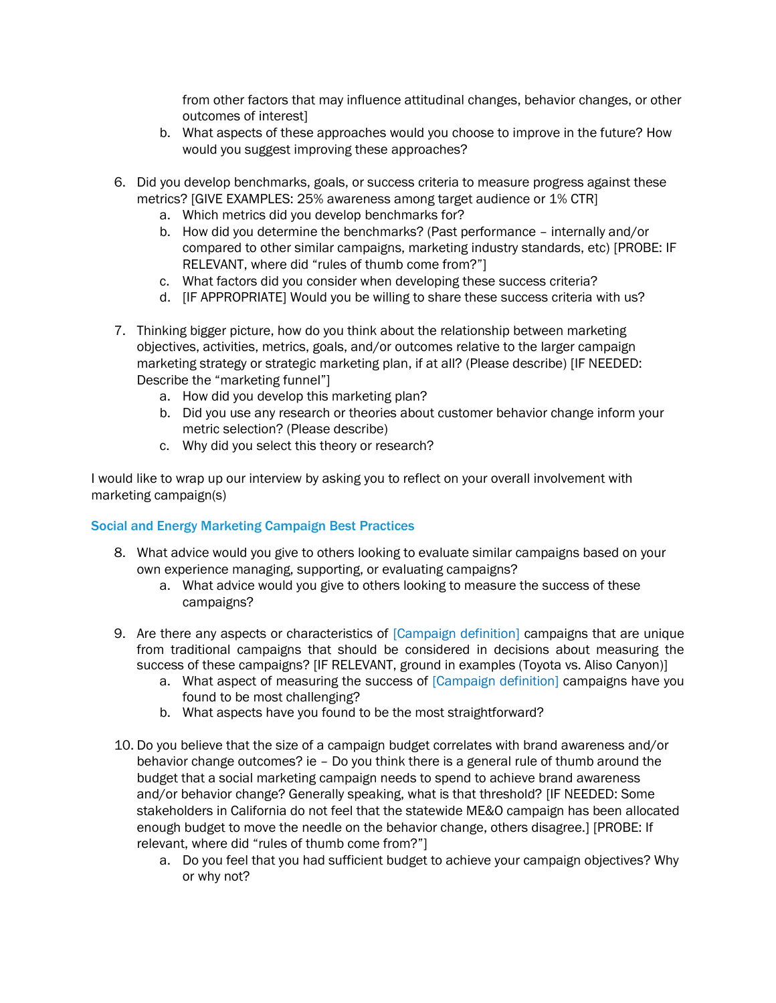from other factors that may influence attitudinal changes, behavior changes, or other outcomes of interest]

- b. What aspects of these approaches would you choose to improve in the future? How would you suggest improving these approaches?
- 6. Did you develop benchmarks, goals, or success criteria to measure progress against these metrics? [GIVE EXAMPLES: 25% awareness among target audience or 1% CTR]
	- a. Which metrics did you develop benchmarks for?
	- b. How did you determine the benchmarks? (Past performance internally and/or compared to other similar campaigns, marketing industry standards, etc) [PROBE: IF RELEVANT, where did "rules of thumb come from?"]
	- c. What factors did you consider when developing these success criteria?
	- d. [IF APPROPRIATE] Would you be willing to share these success criteria with us?
- 7. Thinking bigger picture, how do you think about the relationship between marketing objectives, activities, metrics, goals, and/or outcomes relative to the larger campaign marketing strategy or strategic marketing plan, if at all? (Please describe) [IF NEEDED: Describe the "marketing funnel"]
	- a. How did you develop this marketing plan?
	- b. Did you use any research or theories about customer behavior change inform your metric selection? (Please describe)
	- c. Why did you select this theory or research?

I would like to wrap up our interview by asking you to reflect on your overall involvement with marketing campaign(s)

## Social and Energy Marketing Campaign Best Practices

- 8. What advice would you give to others looking to evaluate similar campaigns based on your own experience managing, supporting, or evaluating campaigns?
	- a. What advice would you give to others looking to measure the success of these campaigns?
- 9. Are there any aspects or characteristics of [Campaign definition] campaigns that are unique from traditional campaigns that should be considered in decisions about measuring the success of these campaigns? [IF RELEVANT, ground in examples (Toyota vs. Aliso Canyon)]
	- a. What aspect of measuring the success of [Campaign definition] campaigns have you found to be most challenging?
	- b. What aspects have you found to be the most straightforward?
- 10. Do you believe that the size of a campaign budget correlates with brand awareness and/or behavior change outcomes? ie – Do you think there is a general rule of thumb around the budget that a social marketing campaign needs to spend to achieve brand awareness and/or behavior change? Generally speaking, what is that threshold? [IF NEEDED: Some stakeholders in California do not feel that the statewide ME&O campaign has been allocated enough budget to move the needle on the behavior change, others disagree.] [PROBE: If relevant, where did "rules of thumb come from?"]
	- a. Do you feel that you had sufficient budget to achieve your campaign objectives? Why or why not?